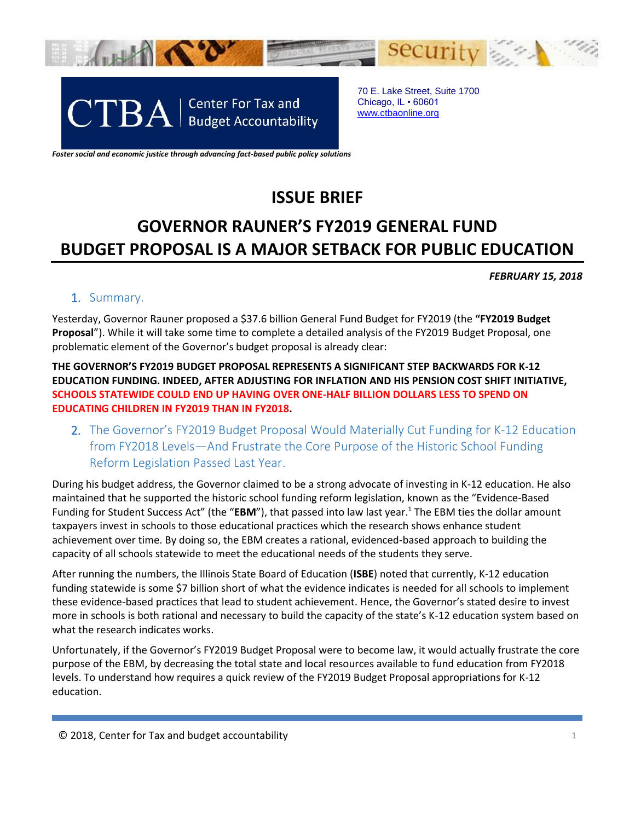

*Foster social and economic justice through advancing fact-based public policy solutions*

# **ISSUE BRIEF**

## **GOVERNOR RAUNER'S FY2019 GENERAL FUND BUDGET PROPOSAL IS A MAJOR SETBACK FOR PUBLIC EDUCATION**

*FEBRUARY 15, 2018*

### 1. Summary.

Yesterday, Governor Rauner proposed a \$37.6 billion General Fund Budget for FY2019 (the **"FY2019 Budget Proposal**"). While it will take some time to complete a detailed analysis of the FY2019 Budget Proposal, one problematic element of the Governor's budget proposal is already clear:

### **THE GOVERNOR'S FY2019 BUDGET PROPOSAL REPRESENTS A SIGNIFICANT STEP BACKWARDS FOR K-12 EDUCATION FUNDING. INDEED, AFTER ADJUSTING FOR INFLATION AND HIS PENSION COST SHIFT INITIATIVE, SCHOOLS STATEWIDE COULD END UP HAVING OVER ONE-HALF BILLION DOLLARS LESS TO SPEND ON EDUCATING CHILDREN IN FY2019 THAN IN FY2018.**

2. The Governor's FY2019 Budget Proposal Would Materially Cut Funding for K-12 Education from FY2018 Levels—And Frustrate the Core Purpose of the Historic School Funding Reform Legislation Passed Last Year.

During his budget address, the Governor claimed to be a strong advocate of investing in K-12 education. He also maintained that he supported the historic school funding reform legislation, known as the "Evidence-Based Funding for Student Success Act" (the "EBM"), that passed into law last year.<sup>1</sup> The EBM ties the dollar amount taxpayers invest in schools to those educational practices which the research shows enhance student achievement over time. By doing so, the EBM creates a rational, evidenced-based approach to building the capacity of all schools statewide to meet the educational needs of the students they serve.

After running the numbers, the Illinois State Board of Education (**ISBE**) noted that currently, K-12 education funding statewide is some \$7 billion short of what the evidence indicates is needed for all schools to implement these evidence-based practices that lead to student achievement. Hence, the Governor's stated desire to invest more in schools is both rational and necessary to build the capacity of the state's K-12 education system based on what the research indicates works.

Unfortunately, if the Governor's FY2019 Budget Proposal were to become law, it would actually frustrate the core purpose of the EBM, by decreasing the total state and local resources available to fund education from FY2018 levels. To understand how requires a quick review of the FY2019 Budget Proposal appropriations for K-12 education.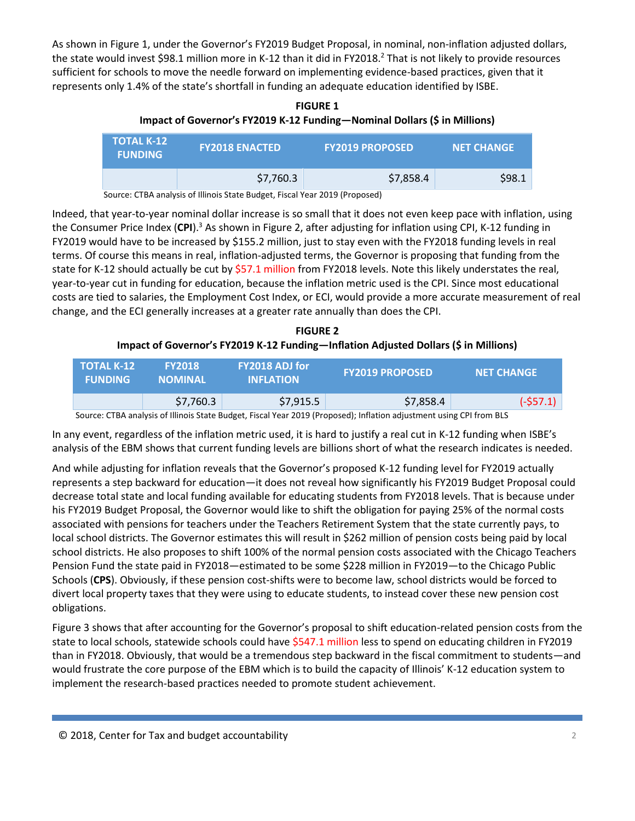As shown in Figure 1, under the Governor's FY2019 Budget Proposal, in nominal, non-inflation adjusted dollars, the state would invest \$98.1 million more in K-12 than it did in FY2018.<sup>2</sup> That is not likely to provide resources sufficient for schools to move the needle forward on implementing evidence-based practices, given that it represents only 1.4% of the state's shortfall in funding an adequate education identified by ISBE.

**FIGURE 1 Impact of Governor's FY2019 K-12 Funding―Nominal Dollars (\$ in Millions)**

| <b>TOTAL K-12</b><br><b>FUNDING</b> | <b>FY2018 ENACTED</b> | <b>FY2019 PROPOSED</b> | <b>NET CHANGE</b> |
|-------------------------------------|-----------------------|------------------------|-------------------|
|                                     | \$7,760.3             | \$7,858.4              | S98.1             |

Source: CTBA analysis of Illinois State Budget, Fiscal Year 2019 (Proposed)

Indeed, that year-to-year nominal dollar increase is so small that it does not even keep pace with inflation, using the Consumer Price Index (CPI).<sup>3</sup> As shown in Figure 2, after adjusting for inflation using CPI, K-12 funding in FY2019 would have to be increased by \$155.2 million, just to stay even with the FY2018 funding levels in real terms. Of course this means in real, inflation-adjusted terms, the Governor is proposing that funding from the state for K-12 should actually be cut by \$57.1 million from FY2018 levels. Note this likely understates the real, year-to-year cut in funding for education, because the inflation metric used is the CPI. Since most educational costs are tied to salaries, the Employment Cost Index, or ECI, would provide a more accurate measurement of real change, and the ECI generally increases at a greater rate annually than does the CPI.

| <b>FIGURE 2</b>                                                                      |
|--------------------------------------------------------------------------------------|
| Impact of Governor's FY2019 K-12 Funding—Inflation Adjusted Dollars (\$ in Millions) |

| <b>TOTAL K-12</b><br><b>FUNDING</b> | <b>FY2018</b><br><b>NOMINAL</b> | <b>FY2018 ADJ for</b><br><b>INFLATION</b> | <b>FY2019 PROPOSED</b> | <b>NET CHANGE</b> |
|-------------------------------------|---------------------------------|-------------------------------------------|------------------------|-------------------|
|                                     | \$7,760.3                       | \$7,915.5                                 | \$7,858.4              | $(-557.1)$        |

Source: CTBA analysis of Illinois State Budget, Fiscal Year 2019 (Proposed); Inflation adjustment using CPI from BLS

In any event, regardless of the inflation metric used, it is hard to justify a real cut in K-12 funding when ISBE's analysis of the EBM shows that current funding levels are billions short of what the research indicates is needed.

And while adjusting for inflation reveals that the Governor's proposed K-12 funding level for FY2019 actually represents a step backward for education—it does not reveal how significantly his FY2019 Budget Proposal could decrease total state and local funding available for educating students from FY2018 levels. That is because under his FY2019 Budget Proposal, the Governor would like to shift the obligation for paying 25% of the normal costs associated with pensions for teachers under the Teachers Retirement System that the state currently pays, to local school districts. The Governor estimates this will result in \$262 million of pension costs being paid by local school districts. He also proposes to shift 100% of the normal pension costs associated with the Chicago Teachers Pension Fund the state paid in FY2018—estimated to be some \$228 million in FY2019—to the Chicago Public Schools (**CPS**). Obviously, if these pension cost-shifts were to become law, school districts would be forced to divert local property taxes that they were using to educate students, to instead cover these new pension cost obligations.

Figure 3 shows that after accounting for the Governor's proposal to shift education-related pension costs from the state to local schools, statewide schools could have \$547.1 million less to spend on educating children in FY2019 than in FY2018. Obviously, that would be a tremendous step backward in the fiscal commitment to students—and would frustrate the core purpose of the EBM which is to build the capacity of Illinois' K-12 education system to implement the research-based practices needed to promote student achievement.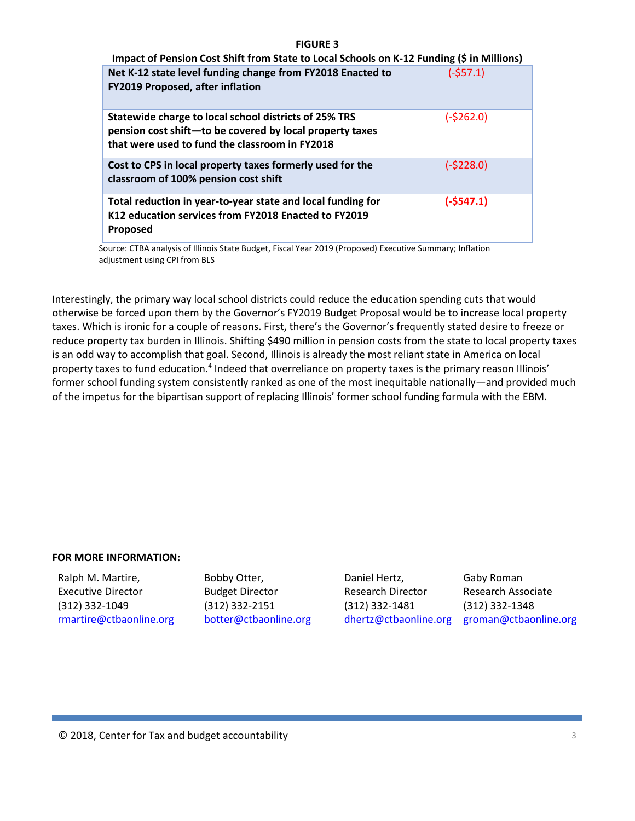| Impact of Pension Cost Shift from State to Local Schools on K-12 Funding (\$ in Millions)                                                                           |             |  |  |  |
|---------------------------------------------------------------------------------------------------------------------------------------------------------------------|-------------|--|--|--|
| Net K-12 state level funding change from FY2018 Enacted to<br><b>FY2019 Proposed, after inflation</b>                                                               | $(-557.1)$  |  |  |  |
| Statewide charge to local school districts of 25% TRS<br>pension cost shift-to be covered by local property taxes<br>that were used to fund the classroom in FY2018 | $(-$262.0)$ |  |  |  |
| Cost to CPS in local property taxes formerly used for the<br>classroom of 100% pension cost shift                                                                   | $(-$228.0)$ |  |  |  |
| Total reduction in year-to-year state and local funding for<br>K12 education services from FY2018 Enacted to FY2019<br><b>Proposed</b>                              | $(-$547.1)$ |  |  |  |

**FIGURE 3**

Source: CTBA analysis of Illinois State Budget, Fiscal Year 2019 (Proposed) Executive Summary; Inflation adjustment using CPI from BLS

Interestingly, the primary way local school districts could reduce the education spending cuts that would otherwise be forced upon them by the Governor's FY2019 Budget Proposal would be to increase local property taxes. Which is ironic for a couple of reasons. First, there's the Governor's frequently stated desire to freeze or reduce property tax burden in Illinois. Shifting \$490 million in pension costs from the state to local property taxes is an odd way to accomplish that goal. Second, Illinois is already the most reliant state in America on local property taxes to fund education.<sup>4</sup> Indeed that overreliance on property taxes is the primary reason Illinois' former school funding system consistently ranked as one of the most inequitable nationally—and provided much of the impetus for the bipartisan support of replacing Illinois' former school funding formula with the EBM.

#### **FOR MORE INFORMATION:**

Ralph M. Martire, Executive Director (312) 332-1049 [rmartire@ctbaonline.org](mailto:rmartire@ctbaonline.org)

Bobby Otter, Budget Director (312) 332-2151 [botter@ctbaonline.org](mailto:botter@ctbaonline.org) Daniel Hertz, Research Director (312) 332-1481

[dhertz@ctbaonline.org](mailto:dhertz@ctbaonline.org) [groman@ctbaonline.org](mailto:groman@ctbaonline.org)Gaby Roman Research Associate (312) 332-1348